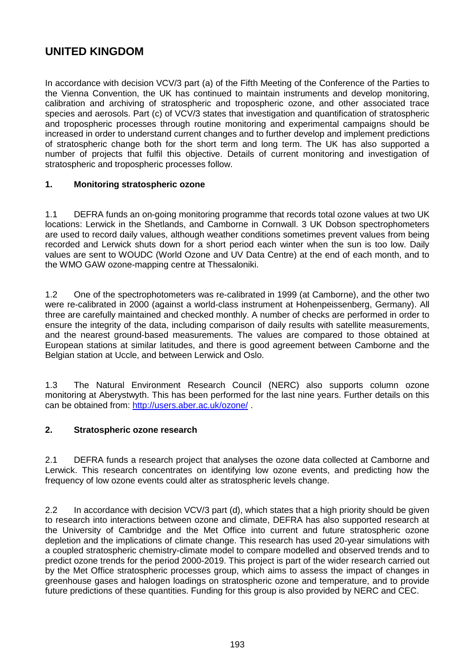# **UNITED KINGDOM**

In accordance with decision VCV/3 part (a) of the Fifth Meeting of the Conference of the Parties to the Vienna Convention, the UK has continued to maintain instruments and develop monitoring, calibration and archiving of stratospheric and tropospheric ozone, and other associated trace species and aerosols. Part (c) of VCV/3 states that investigation and quantification of stratospheric and tropospheric processes through routine monitoring and experimental campaigns should be increased in order to understand current changes and to further develop and implement predictions of stratospheric change both for the short term and long term. The UK has also supported a number of projects that fulfil this objective. Details of current monitoring and investigation of stratospheric and tropospheric processes follow.

#### **1. Monitoring stratospheric ozone**

1.1 DEFRA funds an on-going monitoring programme that records total ozone values at two UK locations: Lerwick in the Shetlands, and Camborne in Cornwall. 3 UK Dobson spectrophometers are used to record daily values, although weather conditions sometimes prevent values from being recorded and Lerwick shuts down for a short period each winter when the sun is too low. Daily values are sent to WOUDC (World Ozone and UV Data Centre) at the end of each month, and to the WMO GAW ozone-mapping centre at Thessaloniki.

1.2 One of the spectrophotometers was re-calibrated in 1999 (at Camborne), and the other two were re-calibrated in 2000 (against a world-class instrument at Hohenpeissenberg, Germany). All three are carefully maintained and checked monthly. A number of checks are performed in order to ensure the integrity of the data, including comparison of daily results with satellite measurements, and the nearest ground-based measurements. The values are compared to those obtained at European stations at similar latitudes, and there is good agreement between Camborne and the Belgian station at Uccle, and between Lerwick and Oslo.

1.3 The Natural Environment Research Council (NERC) also supports column ozone monitoring at Aberystwyth. This has been performed for the last nine years. Further details on this can be obtained from:<http://users.aber.ac.uk/ozone/> .

### **2. Stratospheric ozone research**

2.1 DEFRA funds a research project that analyses the ozone data collected at Camborne and Lerwick. This research concentrates on identifying low ozone events, and predicting how the frequency of low ozone events could alter as stratospheric levels change.

2.2 In accordance with decision VCV/3 part (d), which states that a high priority should be given to research into interactions between ozone and climate, DEFRA has also supported research at the University of Cambridge and the Met Office into current and future stratospheric ozone depletion and the implications of climate change. This research has used 20-year simulations with a coupled stratospheric chemistry-climate model to compare modelled and observed trends and to predict ozone trends for the period 2000-2019. This project is part of the wider research carried out by the Met Office stratospheric processes group, which aims to assess the impact of changes in greenhouse gases and halogen loadings on stratospheric ozone and temperature, and to provide future predictions of these quantities. Funding for this group is also provided by NERC and CEC.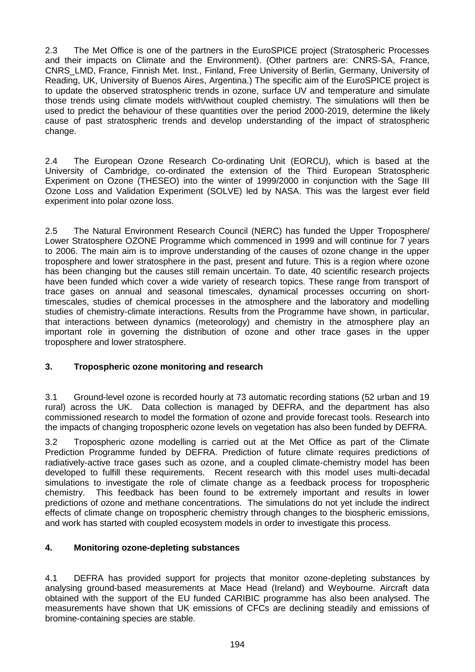2.3 The Met Office is one of the partners in the EuroSPICE project (Stratospheric Processes and their impacts on Climate and the Environment). (Other partners are: CNRS-SA, France, CNRS\_LMD, France, Finnish Met. Inst., Finland, Free University of Berlin, Germany, University of Reading, UK, University of Buenos Aires, Argentina.) The specific aim of the EuroSPICE project is to update the observed stratospheric trends in ozone, surface UV and temperature and simulate those trends using climate models with/without coupled chemistry. The simulations will then be used to predict the behaviour of these quantities over the period 2000-2019, determine the likely cause of past stratospheric trends and develop understanding of the impact of stratospheric change.

2.4 The European Ozone Research Co-ordinating Unit (EORCU), which is based at the University of Cambridge, co-ordinated the extension of the Third European Stratospheric Experiment on Ozone (THESEO) into the winter of 1999/2000 in conjunction with the Sage III Ozone Loss and Validation Experiment (SOLVE) led by NASA. This was the largest ever field experiment into polar ozone loss.

2.5 The Natural Environment Research Council (NERC) has funded the Upper Troposphere/ Lower Stratosphere OZONE Programme which commenced in 1999 and will continue for 7 years to 2006. The main aim is to improve understanding of the causes of ozone change in the upper troposphere and lower stratosphere in the past, present and future. This is a region where ozone has been changing but the causes still remain uncertain. To date, 40 scientific research projects have been funded which cover a wide variety of research topics. These range from transport of trace gases on annual and seasonal timescales, dynamical processes occurring on shorttimescales, studies of chemical processes in the atmosphere and the laboratory and modelling studies of chemistry-climate interactions. Results from the Programme have shown, in particular, that interactions between dynamics (meteorology) and chemistry in the atmosphere play an important role in governing the distribution of ozone and other trace gases in the upper troposphere and lower stratosphere.

### **3. Tropospheric ozone monitoring and research**

3.1 Ground-level ozone is recorded hourly at 73 automatic recording stations (52 urban and 19 rural) across the UK. Data collection is managed by DEFRA, and the department has also commissioned research to model the formation of ozone and provide forecast tools. Research into the impacts of changing tropospheric ozone levels on vegetation has also been funded by DEFRA.

3.2 Tropospheric ozone modelling is carried out at the Met Office as part of the Climate Prediction Programme funded by DEFRA. Prediction of future climate requires predictions of radiatively-active trace gases such as ozone, and a coupled climate-chemistry model has been developed to fulfill these requirements. Recent research with this model uses multi-decadal simulations to investigate the role of climate change as a feedback process for tropospheric chemistry. This feedback has been found to be extremely important and results in lower predictions of ozone and methane concentrations. The simulations do not yet include the indirect effects of climate change on tropospheric chemistry through changes to the biospheric emissions, and work has started with coupled ecosystem models in order to investigate this process.

### **4. Monitoring ozone-depleting substances**

4.1 DEFRA has provided support for projects that monitor ozone-depleting substances by analysing ground-based measurements at Mace Head (Ireland) and Weybourne. Aircraft data obtained with the support of the EU funded CARIBIC programme has also been analysed. The measurements have shown that UK emissions of CFCs are declining steadily and emissions of bromine-containing species are stable.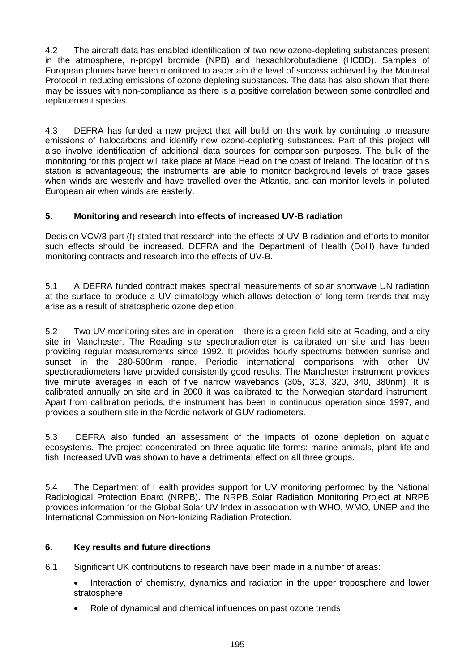4.2 The aircraft data has enabled identification of two new ozone-depleting substances present in the atmosphere, n-propyl bromide (NPB) and hexachlorobutadiene (HCBD). Samples of European plumes have been monitored to ascertain the level of success achieved by the Montreal Protocol in reducing emissions of ozone depleting substances. The data has also shown that there may be issues with non-compliance as there is a positive correlation between some controlled and replacement species.

4.3 DEFRA has funded a new project that will build on this work by continuing to measure emissions of halocarbons and identify new ozone-depleting substances. Part of this project will also involve identification of additional data sources for comparison purposes. The bulk of the monitoring for this project will take place at Mace Head on the coast of Ireland. The location of this station is advantageous; the instruments are able to monitor background levels of trace gases when winds are westerly and have travelled over the Atlantic, and can monitor levels in polluted European air when winds are easterly.

## **5. Monitoring and research into effects of increased UV-B radiation**

Decision VCV/3 part (f) stated that research into the effects of UV-B radiation and efforts to monitor such effects should be increased. DEFRA and the Department of Health (DoH) have funded monitoring contracts and research into the effects of UV-B.

5.1 A DEFRA funded contract makes spectral measurements of solar shortwave UN radiation at the surface to produce a UV climatology which allows detection of long-term trends that may arise as a result of stratospheric ozone depletion.

5.2 Two UV monitoring sites are in operation – there is a green-field site at Reading, and a city site in Manchester. The Reading site spectroradiometer is calibrated on site and has been providing regular measurements since 1992. It provides hourly spectrums between sunrise and sunset in the 280-500nm range. Periodic international comparisons with other UV spectroradiometers have provided consistently good results. The Manchester instrument provides five minute averages in each of five narrow wavebands (305, 313, 320, 340, 380nm). It is calibrated annually on site and in 2000 it was calibrated to the Norwegian standard instrument. Apart from calibration periods, the instrument has been in continuous operation since 1997, and provides a southern site in the Nordic network of GUV radiometers.

5.3 DEFRA also funded an assessment of the impacts of ozone depletion on aquatic ecosystems. The project concentrated on three aquatic life forms: marine animals, plant life and fish. Increased UVB was shown to have a detrimental effect on all three groups.

5.4 The Department of Health provides support for UV monitoring performed by the National Radiological Protection Board (NRPB). The NRPB Solar Radiation Monitoring Project at NRPB provides information for the Global Solar UV Index in association with WHO, WMO, UNEP and the International Commission on Non-Ionizing Radiation Protection.

## **6. Key results and future directions**

6.1 Significant UK contributions to research have been made in a number of areas:

- Interaction of chemistry, dynamics and radiation in the upper troposphere and lower stratosphere
- Role of dynamical and chemical influences on past ozone trends